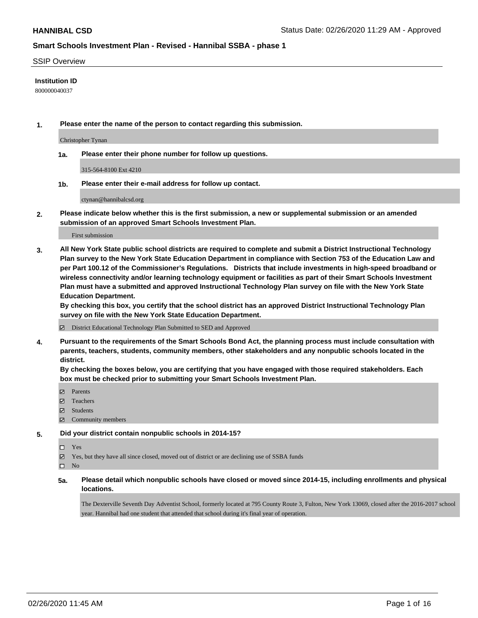#### SSIP Overview

#### **Institution ID**

800000040037

**1. Please enter the name of the person to contact regarding this submission.**

Christopher Tynan

**1a. Please enter their phone number for follow up questions.**

315-564-8100 Ext 4210

**1b. Please enter their e-mail address for follow up contact.**

ctynan@hannibalcsd.org

**2. Please indicate below whether this is the first submission, a new or supplemental submission or an amended submission of an approved Smart Schools Investment Plan.**

First submission

**3. All New York State public school districts are required to complete and submit a District Instructional Technology Plan survey to the New York State Education Department in compliance with Section 753 of the Education Law and per Part 100.12 of the Commissioner's Regulations. Districts that include investments in high-speed broadband or wireless connectivity and/or learning technology equipment or facilities as part of their Smart Schools Investment Plan must have a submitted and approved Instructional Technology Plan survey on file with the New York State Education Department.** 

**By checking this box, you certify that the school district has an approved District Instructional Technology Plan survey on file with the New York State Education Department.**

District Educational Technology Plan Submitted to SED and Approved

**4. Pursuant to the requirements of the Smart Schools Bond Act, the planning process must include consultation with parents, teachers, students, community members, other stakeholders and any nonpublic schools located in the district.** 

**By checking the boxes below, you are certifying that you have engaged with those required stakeholders. Each box must be checked prior to submitting your Smart Schools Investment Plan.**

- Parents
- Teachers
- Students
- Community members

#### **5. Did your district contain nonpublic schools in 2014-15?**

 $\neg$  Yes

Yes, but they have all since closed, moved out of district or are declining use of SSBA funds

 $\square$  No

**5a. Please detail which nonpublic schools have closed or moved since 2014-15, including enrollments and physical locations.**

The Dexterville Seventh Day Adventist School, formerly located at 795 County Route 3, Fulton, New York 13069, closed after the 2016-2017 school year. Hannibal had one student that attended that school during it's final year of operation.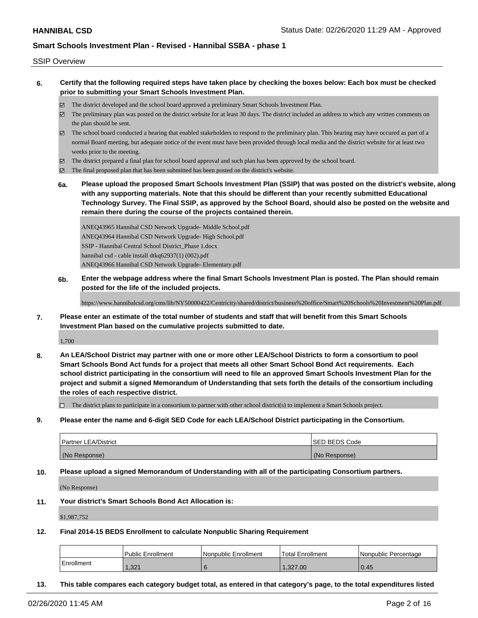#### SSIP Overview

- **6. Certify that the following required steps have taken place by checking the boxes below: Each box must be checked prior to submitting your Smart Schools Investment Plan.**
	- The district developed and the school board approved a preliminary Smart Schools Investment Plan.
	- The preliminary plan was posted on the district website for at least 30 days. The district included an address to which any written comments on the plan should be sent.
	- The school board conducted a hearing that enabled stakeholders to respond to the preliminary plan. This hearing may have occured as part of a normal Board meeting, but adequate notice of the event must have been provided through local media and the district website for at least two weeks prior to the meeting.
	- The district prepared a final plan for school board approval and such plan has been approved by the school board.
	- The final proposed plan that has been submitted has been posted on the district's website.
	- **6a. Please upload the proposed Smart Schools Investment Plan (SSIP) that was posted on the district's website, along with any supporting materials. Note that this should be different than your recently submitted Educational Technology Survey. The Final SSIP, as approved by the School Board, should also be posted on the website and remain there during the course of the projects contained therein.**

ANEQ43965 Hannibal CSD Network Upgrade- Middle School.pdf ANEQ43964 Hannibal CSD Network Upgrade- High School.pdf SSIP - Hannibal Central School District\_Phase 1.docx hannibal csd - cable install dtkq62937(1) (002).pdf ANEQ43966 Hannibal CSD Network Upgrade- Elementary.pdf

**6b. Enter the webpage address where the final Smart Schools Investment Plan is posted. The Plan should remain posted for the life of the included projects.**

https://www.hannibalcsd.org/cms/lib/NY50000422/Centricity/shared/district/business%20office/Smart%20Schools%20Investment%20Plan.pdf

**7. Please enter an estimate of the total number of students and staff that will benefit from this Smart Schools Investment Plan based on the cumulative projects submitted to date.**

1,700

**8. An LEA/School District may partner with one or more other LEA/School Districts to form a consortium to pool Smart Schools Bond Act funds for a project that meets all other Smart School Bond Act requirements. Each school district participating in the consortium will need to file an approved Smart Schools Investment Plan for the project and submit a signed Memorandum of Understanding that sets forth the details of the consortium including the roles of each respective district.**

 $\Box$  The district plans to participate in a consortium to partner with other school district(s) to implement a Smart Schools project.

**9. Please enter the name and 6-digit SED Code for each LEA/School District participating in the Consortium.**

| <b>Partner LEA/District</b> | <b>ISED BEDS Code</b> |
|-----------------------------|-----------------------|
| (No Response)               | (No Response)         |

**10. Please upload a signed Memorandum of Understanding with all of the participating Consortium partners.**

(No Response)

**11. Your district's Smart Schools Bond Act Allocation is:**

\$1,987,752

**12. Final 2014-15 BEDS Enrollment to calculate Nonpublic Sharing Requirement**

|            | <b>Public Enrollment</b> | Nonpublic Enrollment | <sup>1</sup> Total Enrollment | Nonpublic Percentage |
|------------|--------------------------|----------------------|-------------------------------|----------------------|
| Enrollment | 1,321                    |                      | .327.00                       | 0.45                 |

**13. This table compares each category budget total, as entered in that category's page, to the total expenditures listed**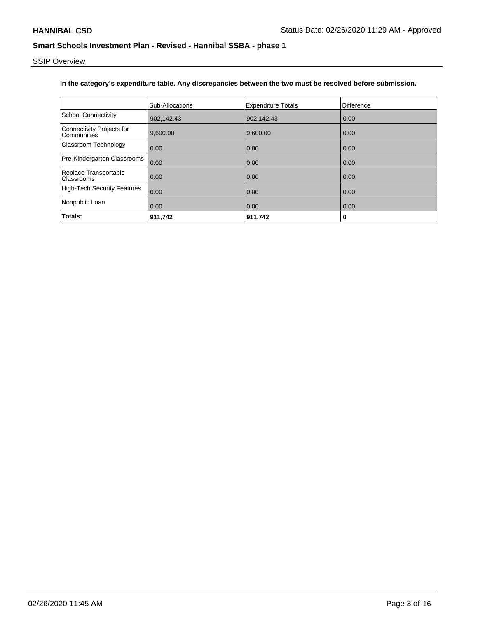SSIP Overview

### **in the category's expenditure table. Any discrepancies between the two must be resolved before submission.**

|                                          | <b>Sub-Allocations</b> | <b>Expenditure Totals</b> | Difference |
|------------------------------------------|------------------------|---------------------------|------------|
| <b>School Connectivity</b>               | 902.142.43             | 902,142.43                | 0.00       |
| Connectivity Projects for<br>Communities | 9,600.00               | 9,600.00                  | 0.00       |
| Classroom Technology                     | 0.00                   | 0.00                      | 0.00       |
| Pre-Kindergarten Classrooms              | 0.00                   | 0.00                      | 0.00       |
| Replace Transportable<br>Classrooms      | 0.00                   | 0.00                      | 0.00       |
| <b>High-Tech Security Features</b>       | 0.00                   | 0.00                      | 0.00       |
| Nonpublic Loan                           | 0.00                   | 0.00                      | 0.00       |
| Totals:                                  | 911,742                | 911,742                   | 0          |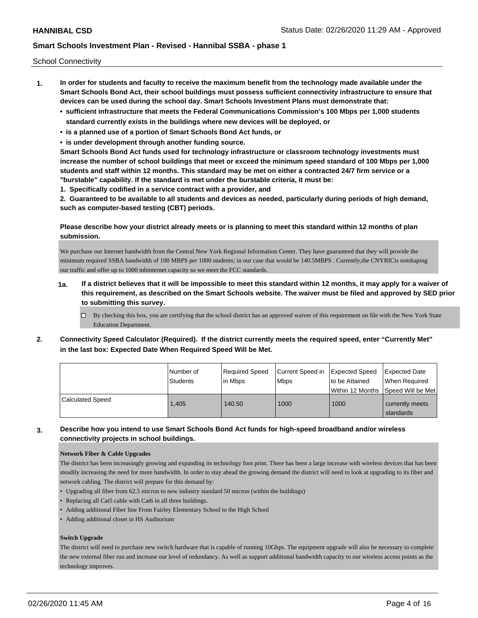School Connectivity

- **1. In order for students and faculty to receive the maximum benefit from the technology made available under the Smart Schools Bond Act, their school buildings must possess sufficient connectivity infrastructure to ensure that devices can be used during the school day. Smart Schools Investment Plans must demonstrate that:**
	- **• sufficient infrastructure that meets the Federal Communications Commission's 100 Mbps per 1,000 students standard currently exists in the buildings where new devices will be deployed, or**
	- **• is a planned use of a portion of Smart Schools Bond Act funds, or**
	- **• is under development through another funding source.**

**Smart Schools Bond Act funds used for technology infrastructure or classroom technology investments must increase the number of school buildings that meet or exceed the minimum speed standard of 100 Mbps per 1,000 students and staff within 12 months. This standard may be met on either a contracted 24/7 firm service or a "burstable" capability. If the standard is met under the burstable criteria, it must be:**

**1. Specifically codified in a service contract with a provider, and**

**2. Guaranteed to be available to all students and devices as needed, particularly during periods of high demand, such as computer-based testing (CBT) periods.**

#### **Please describe how your district already meets or is planning to meet this standard within 12 months of plan submission.**

We purchase our Internet bandwidth from the Central New York Regional Information Center. They have guaranteed that they will provide the minimum required SSBA bandwidth of 100 MBPS per 1000 students; in our case that would be 140.5MBPS . Currently,the CNYRICis notshaping our traffic and offer up to 1000 mbinternet capacity so we meet the FCC standards.

- **1a. If a district believes that it will be impossible to meet this standard within 12 months, it may apply for a waiver of this requirement, as described on the Smart Schools website. The waiver must be filed and approved by SED prior to submitting this survey.**
	- $\Box$  By checking this box, you are certifying that the school district has an approved waiver of this requirement on file with the New York State Education Department.
- **2. Connectivity Speed Calculator (Required). If the district currently meets the required speed, enter "Currently Met" in the last box: Expected Date When Required Speed Will be Met.**

|                         | l Number of     | Required Speed | Current Speed in Expected Speed | to be Attained                     | <b>Expected Date</b>         |
|-------------------------|-----------------|----------------|---------------------------------|------------------------------------|------------------------------|
|                         | <b>Students</b> | l in Mbps      | <b>Mbps</b>                     | Within 12 Months Speed Will be Met | l When Reauired              |
| <b>Calculated Speed</b> | 1.405           | 140.50         | 1000                            | 1000                               | currently meets<br>standards |

### **3. Describe how you intend to use Smart Schools Bond Act funds for high-speed broadband and/or wireless connectivity projects in school buildings.**

#### **Network Fiber & Cable Upgrades**

The district has been increasingly growing and expanding its technology foot print. There has been a large increase with wireless devices that has been steadily increasing the need for more bandwidth. In order to stay ahead the growing demand the district will need to look at upgrading to its fiber and network cabling. The district will prepare for this demand by:

- Upgrading all fiber from 62.5 micron to new industry standard 50 micron (within the buildings)
- Replacing all Cat5 cable with Cat6 in all three buildings.
- Adding additional Fiber line From Fairley Elementary School to the High School
- Adding additional closet in HS Auditorium

#### **Switch Upgrade**

The district will need to purchase new switch hardware that is capable of running 10Gbps. The equipment upgrade will also be necessary to complete the new external fiber run and increase our level of redundancy. As well as support additional bandwidth capacity to our wireless access points as the technology improves.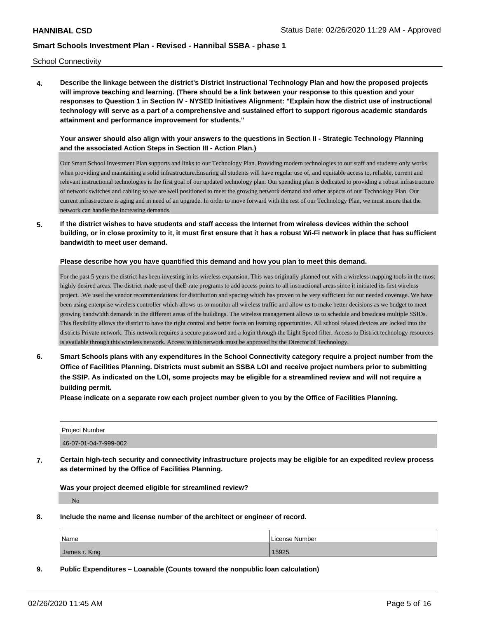School Connectivity

**4. Describe the linkage between the district's District Instructional Technology Plan and how the proposed projects will improve teaching and learning. (There should be a link between your response to this question and your responses to Question 1 in Section IV - NYSED Initiatives Alignment: "Explain how the district use of instructional technology will serve as a part of a comprehensive and sustained effort to support rigorous academic standards attainment and performance improvement for students."** 

**Your answer should also align with your answers to the questions in Section II - Strategic Technology Planning and the associated Action Steps in Section III - Action Plan.)**

Our Smart School Investment Plan supports and links to our Technology Plan. Providing modern technologies to our staff and students only works when providing and maintaining a solid infrastructure.Ensuring all students will have regular use of, and equitable access to, reliable, current and relevant instructional technologies is the first goal of our updated technology plan. Our spending plan is dedicated to providing a robust infrastructure of network switches and cabling so we are well positioned to meet the growing network demand and other aspects of our Technology Plan. Our current infrastructure is aging and in need of an upgrade. In order to move forward with the rest of our Technology Plan, we must insure that the network can handle the increasing demands.

**5. If the district wishes to have students and staff access the Internet from wireless devices within the school building, or in close proximity to it, it must first ensure that it has a robust Wi-Fi network in place that has sufficient bandwidth to meet user demand.**

**Please describe how you have quantified this demand and how you plan to meet this demand.**

For the past 5 years the district has been investing in its wireless expansion. This was originally planned out with a wireless mapping tools in the most highly desired areas. The district made use of theE-rate programs to add access points to all instructional areas since it initiated its first wireless project. .We used the vendor recommendations for distribution and spacing which has proven to be very sufficient for our needed coverage. We have been using enterprise wireless controller which allows us to monitor all wireless traffic and allow us to make better decisions as we budget to meet growing bandwidth demands in the different areas of the buildings. The wireless management allows us to schedule and broadcast multiple SSIDs. This flexibility allows the district to have the right control and better focus on learning opportunities. All school related devices are locked into the districts Private network. This network requires a secure password and a login through the Light Speed filter. Access to District technology resources is available through this wireless network. Access to this network must be approved by the Director of Technology.

**6. Smart Schools plans with any expenditures in the School Connectivity category require a project number from the Office of Facilities Planning. Districts must submit an SSBA LOI and receive project numbers prior to submitting the SSIP. As indicated on the LOI, some projects may be eligible for a streamlined review and will not require a building permit.**

**Please indicate on a separate row each project number given to you by the Office of Facilities Planning.**

| <b>Project Number</b> |  |
|-----------------------|--|
| 46-07-01-04-7-999-002 |  |

**7. Certain high-tech security and connectivity infrastructure projects may be eligible for an expedited review process as determined by the Office of Facilities Planning.**

**Was your project deemed eligible for streamlined review?** No

**8. Include the name and license number of the architect or engineer of record.**

| Name          | License Number |
|---------------|----------------|
| James r. King | 15925          |

#### **9. Public Expenditures – Loanable (Counts toward the nonpublic loan calculation)**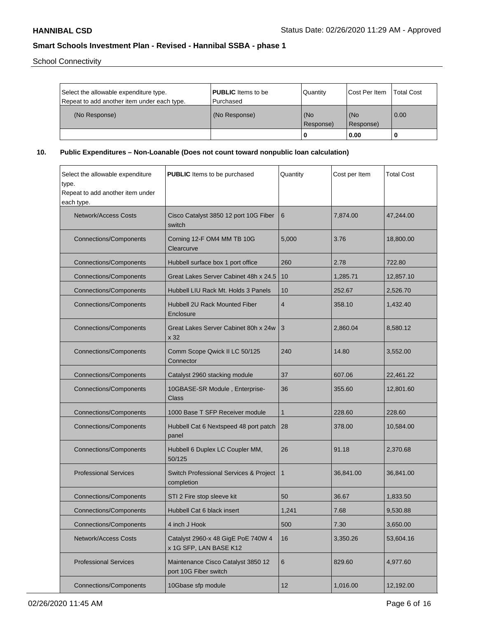School Connectivity

| Select the allowable expenditure type.<br>Repeat to add another item under each type. | <b>PUBLIC</b> Items to be<br>l Purchased | Quantity         | <b>Cost Per Item</b> | <b>Total Cost</b> |
|---------------------------------------------------------------------------------------|------------------------------------------|------------------|----------------------|-------------------|
| (No Response)                                                                         | (No Response)                            | (No<br>Response) | (No<br>Response)     | $\overline{0.00}$ |
|                                                                                       |                                          | 0                | 0.00                 |                   |

**10. Public Expenditures – Non-Loanable (Does not count toward nonpublic loan calculation)**

| Select the allowable expenditure<br>type.<br>Repeat to add another item under<br>each type. | <b>PUBLIC</b> Items to be purchased<br>Quantity              |              | Cost per Item | <b>Total Cost</b> |
|---------------------------------------------------------------------------------------------|--------------------------------------------------------------|--------------|---------------|-------------------|
| Network/Access Costs                                                                        | Cisco Catalyst 3850 12 port 10G Fiber<br>switch              | 6            | 7,874.00      | 47,244.00         |
| <b>Connections/Components</b>                                                               | Corning 12-F OM4 MM TB 10G<br>Clearcurve                     | 5,000        | 3.76          | 18,800.00         |
| <b>Connections/Components</b>                                                               | Hubbell surface box 1 port office                            | 260          | 2.78          | 722.80            |
| <b>Connections/Components</b>                                                               | Great Lakes Server Cabinet 48h x 24.5                        | 10           | 1,285.71      | 12,857.10         |
| <b>Connections/Components</b>                                                               | Hubbell LIU Rack Mt. Holds 3 Panels                          | 10           | 252.67        | 2,526.70          |
| <b>Connections/Components</b>                                                               | <b>Hubbell 2U Rack Mounted Fiber</b><br>Enclosure            | 4            | 358.10        | 1,432.40          |
| <b>Connections/Components</b>                                                               | Great Lakes Server Cabinet 80h x 24w<br>x 32                 | 3            | 2.860.04      | 8.580.12          |
| <b>Connections/Components</b>                                                               | Comm Scope Qwick II LC 50/125<br>Connector                   | 240          | 14.80         | 3,552.00          |
| <b>Connections/Components</b>                                                               | Catalyst 2960 stacking module                                | 37           | 607.06        | 22,461.22         |
| <b>Connections/Components</b>                                                               | 10GBASE-SR Module, Enterprise-<br>Class                      | 36           | 355.60        | 12,801.60         |
| <b>Connections/Components</b>                                                               | 1000 Base T SFP Receiver module                              | $\mathbf{1}$ | 228.60        | 228.60            |
| <b>Connections/Components</b>                                                               | Hubbell Cat 6 Nextspeed 48 port patch<br>panel               | 28           | 378.00        | 10,584.00         |
| <b>Connections/Components</b>                                                               | Hubbell 6 Duplex LC Coupler MM,<br>50/125                    | 26           | 91.18         | 2,370.68          |
| <b>Professional Services</b>                                                                | Switch Professional Services & Project<br>completion         | $\mathbf{1}$ | 36,841.00     | 36,841.00         |
| <b>Connections/Components</b>                                                               | STI 2 Fire stop sleeve kit                                   | 50           | 36.67         | 1,833.50          |
| Connections/Components                                                                      | Hubbell Cat 6 black insert                                   | 1,241        | 7.68          | 9,530.88          |
| <b>Connections/Components</b>                                                               | 4 inch J Hook                                                | 500          | 7.30          | 3,650.00          |
| <b>Network/Access Costs</b>                                                                 | Catalyst 2960-x 48 GigE PoE 740W 4<br>x 1G SFP, LAN BASE K12 | 16           | 3,350.26      | 53,604.16         |
| <b>Professional Services</b>                                                                | Maintenance Cisco Catalyst 3850 12<br>port 10G Fiber switch  | 6            | 829.60        | 4,977.60          |
| <b>Connections/Components</b>                                                               | 10Gbase sfp module                                           | 12           | 1,016.00      | 12,192.00         |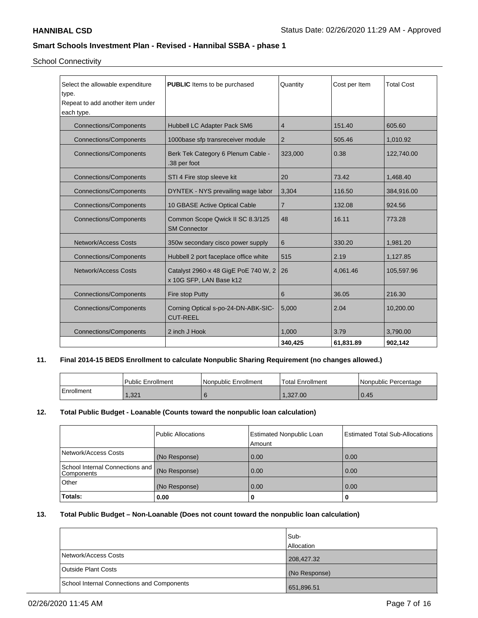School Connectivity

| Select the allowable expenditure<br>type.<br>Repeat to add another item under<br>each type. | <b>PUBLIC</b> Items to be purchased                             | Quantity       | Cost per Item | <b>Total Cost</b> |
|---------------------------------------------------------------------------------------------|-----------------------------------------------------------------|----------------|---------------|-------------------|
| <b>Connections/Components</b>                                                               | Hubbell LC Adapter Pack SM6                                     | 4              | 151.40        | 605.60            |
| <b>Connections/Components</b>                                                               | 1000base sfp transreceiver module                               | $\overline{2}$ | 505.46        | 1,010.92          |
| <b>Connections/Components</b>                                                               | Berk Tek Category 6 Plenum Cable -<br>.38 per foot              | 323,000        | 0.38          | 122,740.00        |
| <b>Connections/Components</b>                                                               | STI 4 Fire stop sleeve kit                                      | 20             | 73.42         | 1,468.40          |
| <b>Connections/Components</b>                                                               | DYNTEK - NYS prevailing wage labor                              | 3,304          | 116.50        | 384,916.00        |
| <b>Connections/Components</b>                                                               | 10 GBASE Active Optical Cable                                   | $\overline{7}$ | 132.08        | 924.56            |
| <b>Connections/Components</b>                                                               | Common Scope Qwick II SC 8.3/125<br><b>SM Connector</b>         | 48             | 16.11         | 773.28            |
| Network/Access Costs                                                                        | 350w secondary cisco power supply                               | 6              | 330.20        | 1,981.20          |
| <b>Connections/Components</b>                                                               | Hubbell 2 port faceplace office white                           | 515            | 2.19          | 1,127.85          |
| Network/Access Costs                                                                        | Catalyst 2960-x 48 GigE PoE 740 W, 2<br>x 10G SFP, LAN Base k12 | 26             | 4.061.46      | 105,597.96        |
| <b>Connections/Components</b>                                                               | Fire stop Putty                                                 | 6              | 36.05         | 216.30            |
| <b>Connections/Components</b>                                                               | Corning Optical s-po-24-DN-ABK-SIC-<br><b>CUT-REEL</b>          | 5,000          | 2.04          | 10,200.00         |
| <b>Connections/Components</b>                                                               | 2 inch J Hook                                                   | 1.000          | 3.79          | 3,790.00          |
|                                                                                             |                                                                 | 340,425        | 61,831.89     | 902,142           |

### **11. Final 2014-15 BEDS Enrollment to calculate Nonpublic Sharing Requirement (no changes allowed.)**

|            | <b>Public Enrollment</b> | Nonpublic Enrollment | <b>Total Enrollment</b> | l Nonpublic Percentage |
|------------|--------------------------|----------------------|-------------------------|------------------------|
| Enrollment | 1,321                    |                      | 1,327.00                | 0.45                   |

### **12. Total Public Budget - Loanable (Counts toward the nonpublic loan calculation)**

|                                                 | <b>Public Allocations</b> | <b>Estimated Nonpublic Loan</b><br>Amount | <b>Estimated Total Sub-Allocations</b> |
|-------------------------------------------------|---------------------------|-------------------------------------------|----------------------------------------|
| Network/Access Costs                            | (No Response)             | 0.00                                      | 0.00                                   |
| School Internal Connections and  <br>Components | (No Response)             | 0.00                                      | 0.00                                   |
| Other                                           | (No Response)             | 0.00                                      | 0.00                                   |
| Totals:                                         | 0.00                      | o                                         | 0                                      |

### **13. Total Public Budget – Non-Loanable (Does not count toward the nonpublic loan calculation)**

|                                            | Sub-<br>Allocation |
|--------------------------------------------|--------------------|
| Network/Access Costs                       | 208,427.32         |
| <b>Outside Plant Costs</b>                 | (No Response)      |
| School Internal Connections and Components | 651,896.51         |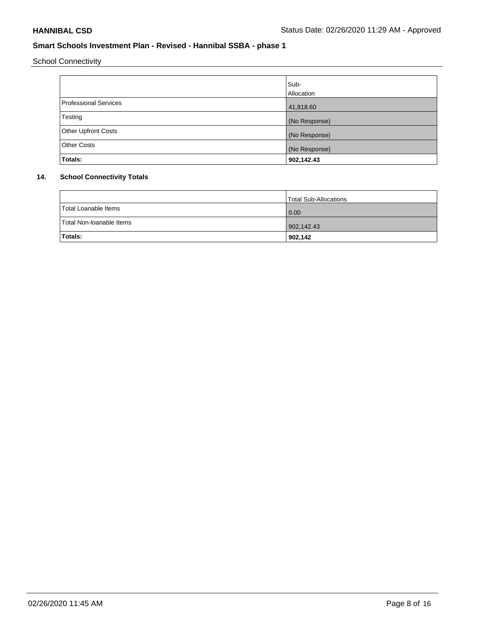School Connectivity

|                              | Sub-<br>Allocation |
|------------------------------|--------------------|
| <b>Professional Services</b> | 41,818.60          |
| Testing                      | (No Response)      |
| Other Upfront Costs          | (No Response)      |
| <b>Other Costs</b>           | (No Response)      |
| <b>Totals:</b>               | 902,142.43         |

### **14. School Connectivity Totals**

|                          | Total Sub-Allocations |
|--------------------------|-----------------------|
| Total Loanable Items     | $\overline{0.00}$     |
| Total Non-Ioanable Items | 902,142.43            |
| <b>Totals:</b>           | 902,142               |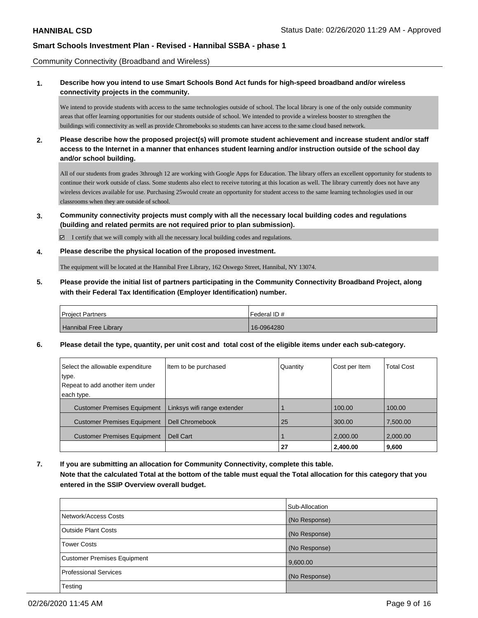Community Connectivity (Broadband and Wireless)

### **1. Describe how you intend to use Smart Schools Bond Act funds for high-speed broadband and/or wireless connectivity projects in the community.**

We intend to provide students with access to the same technologies outside of school. The local library is one of the only outside community areas that offer learning opportunities for our students outside of school. We intended to provide a wireless booster to strengthen the buildings wifi connectivity as well as provide Chromebooks so students can have access to the same cloud based network.

**2. Please describe how the proposed project(s) will promote student achievement and increase student and/or staff access to the Internet in a manner that enhances student learning and/or instruction outside of the school day and/or school building.**

All of our students from grades 3through 12 are working with Google Apps for Education. The library offers an excellent opportunity for students to continue their work outside of class. Some students also elect to receive tutoring at this location as well. The library currently does not have any wireless devices available for use. Purchasing 25would create an opportunity for student access to the same learning technologies used in our classrooms when they are outside of school.

#### **3. Community connectivity projects must comply with all the necessary local building codes and regulations (building and related permits are not required prior to plan submission).**

 $\boxtimes$  I certify that we will comply with all the necessary local building codes and regulations.

#### **4. Please describe the physical location of the proposed investment.**

The equipment will be located at the Hannibal Free Library, 162 Oswego Street, Hannibal, NY 13074.

**5. Please provide the initial list of partners participating in the Community Connectivity Broadband Project, along with their Federal Tax Identification (Employer Identification) number.**

| <b>Project Partners</b> | l Federal ID # |
|-------------------------|----------------|
| Hannibal Free Library   | 16-0964280     |

**6. Please detail the type, quantity, per unit cost and total cost of the eligible items under each sub-category.**

| Select the allowable expenditure   | Item to be purchased        | Quantity | Cost per Item | <b>Total Cost</b> |
|------------------------------------|-----------------------------|----------|---------------|-------------------|
| type.                              |                             |          |               |                   |
| Repeat to add another item under   |                             |          |               |                   |
| each type.                         |                             |          |               |                   |
| <b>Customer Premises Equipment</b> | Linksys wifi range extender |          | 100.00        | 100.00            |
| <b>Customer Premises Equipment</b> | <b>Dell Chromebook</b>      | 25       | 300.00        | 7,500.00          |
| <b>Customer Premises Equipment</b> | Dell Cart                   |          | 2,000.00      | 2,000.00          |
|                                    |                             | 27       | 2,400.00      | 9,600             |

**7. If you are submitting an allocation for Community Connectivity, complete this table. Note that the calculated Total at the bottom of the table must equal the Total allocation for this category that you**

**entered in the SSIP Overview overall budget.**

|                                    | Sub-Allocation |
|------------------------------------|----------------|
| Network/Access Costs               | (No Response)  |
| Outside Plant Costs                | (No Response)  |
| <b>Tower Costs</b>                 | (No Response)  |
| <b>Customer Premises Equipment</b> | 9,600.00       |
| Professional Services              | (No Response)  |
| Testing                            |                |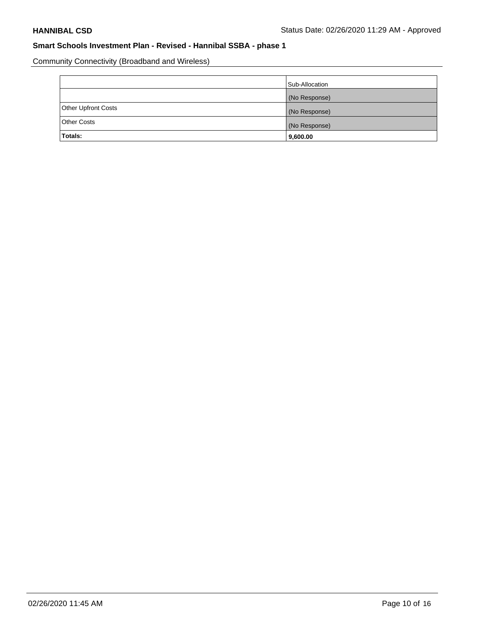Community Connectivity (Broadband and Wireless)

|                            | Sub-Allocation |
|----------------------------|----------------|
|                            | (No Response)  |
| <b>Other Upfront Costs</b> | (No Response)  |
| <b>Other Costs</b>         | (No Response)  |
| Totals:                    | 9,600.00       |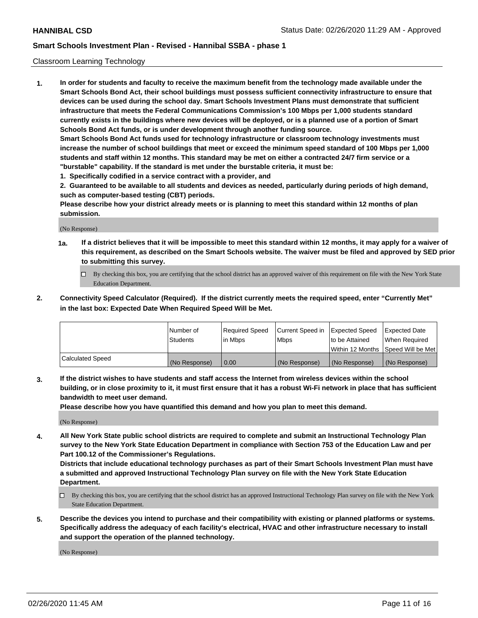#### Classroom Learning Technology

**1. In order for students and faculty to receive the maximum benefit from the technology made available under the Smart Schools Bond Act, their school buildings must possess sufficient connectivity infrastructure to ensure that devices can be used during the school day. Smart Schools Investment Plans must demonstrate that sufficient infrastructure that meets the Federal Communications Commission's 100 Mbps per 1,000 students standard currently exists in the buildings where new devices will be deployed, or is a planned use of a portion of Smart Schools Bond Act funds, or is under development through another funding source. Smart Schools Bond Act funds used for technology infrastructure or classroom technology investments must increase the number of school buildings that meet or exceed the minimum speed standard of 100 Mbps per 1,000 students and staff within 12 months. This standard may be met on either a contracted 24/7 firm service or a**

- **"burstable" capability. If the standard is met under the burstable criteria, it must be:**
- **1. Specifically codified in a service contract with a provider, and**

**2. Guaranteed to be available to all students and devices as needed, particularly during periods of high demand, such as computer-based testing (CBT) periods.**

**Please describe how your district already meets or is planning to meet this standard within 12 months of plan submission.**

(No Response)

- **1a. If a district believes that it will be impossible to meet this standard within 12 months, it may apply for a waiver of this requirement, as described on the Smart Schools website. The waiver must be filed and approved by SED prior to submitting this survey.**
	- By checking this box, you are certifying that the school district has an approved waiver of this requirement on file with the New York State Education Department.
- **2. Connectivity Speed Calculator (Required). If the district currently meets the required speed, enter "Currently Met" in the last box: Expected Date When Required Speed Will be Met.**

|                  | l Number of     | Required Speed | Current Speed in | <b>Expected Speed</b> | <b>Expected Date</b>                |
|------------------|-----------------|----------------|------------------|-----------------------|-------------------------------------|
|                  | <b>Students</b> | l in Mbps      | l Mbps           | to be Attained        | When Required                       |
|                  |                 |                |                  |                       | Within 12 Months  Speed Will be Met |
| Calculated Speed | (No Response)   | 0.00           | (No Response)    | l (No Response)       | (No Response)                       |

**3. If the district wishes to have students and staff access the Internet from wireless devices within the school building, or in close proximity to it, it must first ensure that it has a robust Wi-Fi network in place that has sufficient bandwidth to meet user demand.**

**Please describe how you have quantified this demand and how you plan to meet this demand.**

(No Response)

**4. All New York State public school districts are required to complete and submit an Instructional Technology Plan survey to the New York State Education Department in compliance with Section 753 of the Education Law and per Part 100.12 of the Commissioner's Regulations.**

**Districts that include educational technology purchases as part of their Smart Schools Investment Plan must have a submitted and approved Instructional Technology Plan survey on file with the New York State Education Department.**

- By checking this box, you are certifying that the school district has an approved Instructional Technology Plan survey on file with the New York State Education Department.
- **5. Describe the devices you intend to purchase and their compatibility with existing or planned platforms or systems. Specifically address the adequacy of each facility's electrical, HVAC and other infrastructure necessary to install and support the operation of the planned technology.**

(No Response)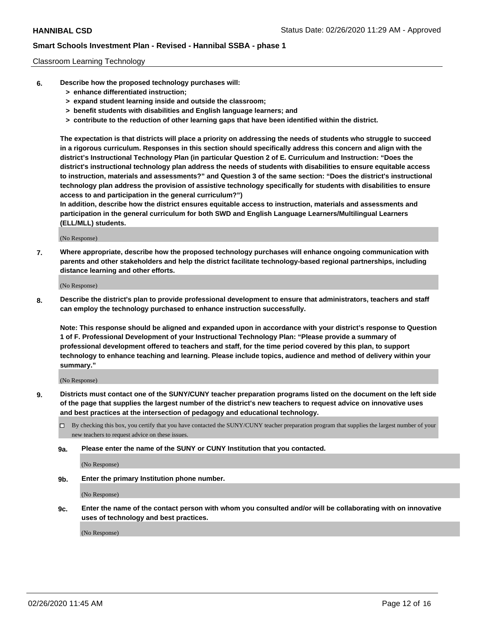#### Classroom Learning Technology

- **6. Describe how the proposed technology purchases will:**
	- **> enhance differentiated instruction;**
	- **> expand student learning inside and outside the classroom;**
	- **> benefit students with disabilities and English language learners; and**
	- **> contribute to the reduction of other learning gaps that have been identified within the district.**

**The expectation is that districts will place a priority on addressing the needs of students who struggle to succeed in a rigorous curriculum. Responses in this section should specifically address this concern and align with the district's Instructional Technology Plan (in particular Question 2 of E. Curriculum and Instruction: "Does the district's instructional technology plan address the needs of students with disabilities to ensure equitable access to instruction, materials and assessments?" and Question 3 of the same section: "Does the district's instructional technology plan address the provision of assistive technology specifically for students with disabilities to ensure access to and participation in the general curriculum?")**

**In addition, describe how the district ensures equitable access to instruction, materials and assessments and participation in the general curriculum for both SWD and English Language Learners/Multilingual Learners (ELL/MLL) students.**

(No Response)

**7. Where appropriate, describe how the proposed technology purchases will enhance ongoing communication with parents and other stakeholders and help the district facilitate technology-based regional partnerships, including distance learning and other efforts.**

(No Response)

**8. Describe the district's plan to provide professional development to ensure that administrators, teachers and staff can employ the technology purchased to enhance instruction successfully.**

**Note: This response should be aligned and expanded upon in accordance with your district's response to Question 1 of F. Professional Development of your Instructional Technology Plan: "Please provide a summary of professional development offered to teachers and staff, for the time period covered by this plan, to support technology to enhance teaching and learning. Please include topics, audience and method of delivery within your summary."**

(No Response)

- **9. Districts must contact one of the SUNY/CUNY teacher preparation programs listed on the document on the left side of the page that supplies the largest number of the district's new teachers to request advice on innovative uses and best practices at the intersection of pedagogy and educational technology.**
	- By checking this box, you certify that you have contacted the SUNY/CUNY teacher preparation program that supplies the largest number of your new teachers to request advice on these issues.
	- **9a. Please enter the name of the SUNY or CUNY Institution that you contacted.**

(No Response)

**9b. Enter the primary Institution phone number.**

(No Response)

**9c. Enter the name of the contact person with whom you consulted and/or will be collaborating with on innovative uses of technology and best practices.**

(No Response)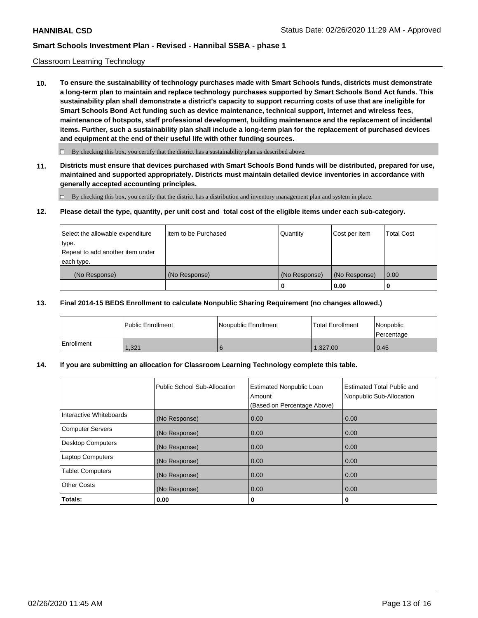#### Classroom Learning Technology

**10. To ensure the sustainability of technology purchases made with Smart Schools funds, districts must demonstrate a long-term plan to maintain and replace technology purchases supported by Smart Schools Bond Act funds. This sustainability plan shall demonstrate a district's capacity to support recurring costs of use that are ineligible for Smart Schools Bond Act funding such as device maintenance, technical support, Internet and wireless fees, maintenance of hotspots, staff professional development, building maintenance and the replacement of incidental items. Further, such a sustainability plan shall include a long-term plan for the replacement of purchased devices and equipment at the end of their useful life with other funding sources.**

 $\Box$  By checking this box, you certify that the district has a sustainability plan as described above.

**11. Districts must ensure that devices purchased with Smart Schools Bond funds will be distributed, prepared for use, maintained and supported appropriately. Districts must maintain detailed device inventories in accordance with generally accepted accounting principles.**

By checking this box, you certify that the district has a distribution and inventory management plan and system in place.

#### **12. Please detail the type, quantity, per unit cost and total cost of the eligible items under each sub-category.**

| Select the allowable expenditure<br>type.      | Item to be Purchased | Quantity      | Cost per Item | <b>Total Cost</b> |
|------------------------------------------------|----------------------|---------------|---------------|-------------------|
| Repeat to add another item under<br>each type. |                      |               |               |                   |
| (No Response)                                  | (No Response)        | (No Response) | (No Response) | 0.00              |
|                                                |                      |               | 0.00          |                   |

#### **13. Final 2014-15 BEDS Enrollment to calculate Nonpublic Sharing Requirement (no changes allowed.)**

|              | l Public Enrollment | Nonpublic Enrollment | Total Enrollment | <i>Nonpublic</i><br>l Percentage |
|--------------|---------------------|----------------------|------------------|----------------------------------|
| l Enrollment | 1,321               |                      | 1.327.00         | 0.45                             |

#### **14. If you are submitting an allocation for Classroom Learning Technology complete this table.**

|                         | Public School Sub-Allocation | <b>Estimated Nonpublic Loan</b><br>Amount<br>(Based on Percentage Above) | Estimated Total Public and<br>Nonpublic Sub-Allocation |
|-------------------------|------------------------------|--------------------------------------------------------------------------|--------------------------------------------------------|
| Interactive Whiteboards | (No Response)                | 0.00                                                                     | 0.00                                                   |
| Computer Servers        | (No Response)                | 0.00                                                                     | 0.00                                                   |
| Desktop Computers       | (No Response)                | 0.00                                                                     | 0.00                                                   |
| <b>Laptop Computers</b> | (No Response)                | 0.00                                                                     | 0.00                                                   |
| <b>Tablet Computers</b> | (No Response)                | 0.00                                                                     | 0.00                                                   |
| Other Costs             | (No Response)                | 0.00                                                                     | 0.00                                                   |
| Totals:                 | 0.00                         | 0                                                                        | 0                                                      |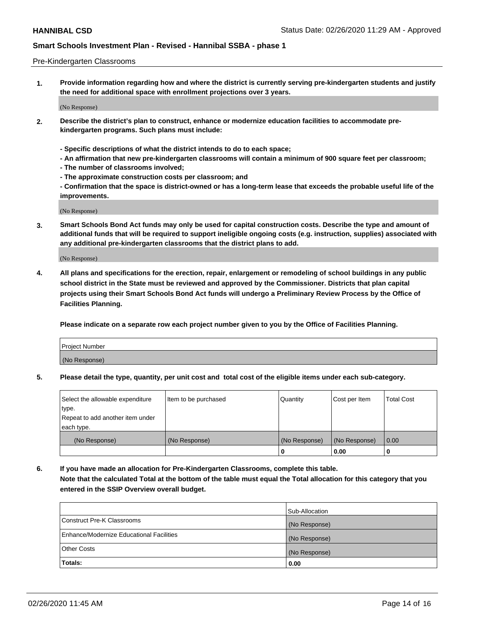#### Pre-Kindergarten Classrooms

**1. Provide information regarding how and where the district is currently serving pre-kindergarten students and justify the need for additional space with enrollment projections over 3 years.**

(No Response)

- **2. Describe the district's plan to construct, enhance or modernize education facilities to accommodate prekindergarten programs. Such plans must include:**
	- **Specific descriptions of what the district intends to do to each space;**
	- **An affirmation that new pre-kindergarten classrooms will contain a minimum of 900 square feet per classroom;**
	- **The number of classrooms involved;**
	- **The approximate construction costs per classroom; and**
	- **Confirmation that the space is district-owned or has a long-term lease that exceeds the probable useful life of the improvements.**

(No Response)

**3. Smart Schools Bond Act funds may only be used for capital construction costs. Describe the type and amount of additional funds that will be required to support ineligible ongoing costs (e.g. instruction, supplies) associated with any additional pre-kindergarten classrooms that the district plans to add.**

(No Response)

**4. All plans and specifications for the erection, repair, enlargement or remodeling of school buildings in any public school district in the State must be reviewed and approved by the Commissioner. Districts that plan capital projects using their Smart Schools Bond Act funds will undergo a Preliminary Review Process by the Office of Facilities Planning.**

**Please indicate on a separate row each project number given to you by the Office of Facilities Planning.**

| Project Number |  |
|----------------|--|
| (No Response)  |  |
|                |  |

**5. Please detail the type, quantity, per unit cost and total cost of the eligible items under each sub-category.**

| Select the allowable expenditure | Item to be purchased | Quantity      | Cost per Item | <b>Total Cost</b> |
|----------------------------------|----------------------|---------------|---------------|-------------------|
| type.                            |                      |               |               |                   |
| Repeat to add another item under |                      |               |               |                   |
| each type.                       |                      |               |               |                   |
| (No Response)                    | (No Response)        | (No Response) | (No Response) | 0.00              |
|                                  |                      | U             | 0.00          |                   |

**6. If you have made an allocation for Pre-Kindergarten Classrooms, complete this table. Note that the calculated Total at the bottom of the table must equal the Total allocation for this category that you entered in the SSIP Overview overall budget.**

|                                          | Sub-Allocation |
|------------------------------------------|----------------|
| Construct Pre-K Classrooms               | (No Response)  |
| Enhance/Modernize Educational Facilities | (No Response)  |
| <b>Other Costs</b>                       | (No Response)  |
| Totals:                                  | 0.00           |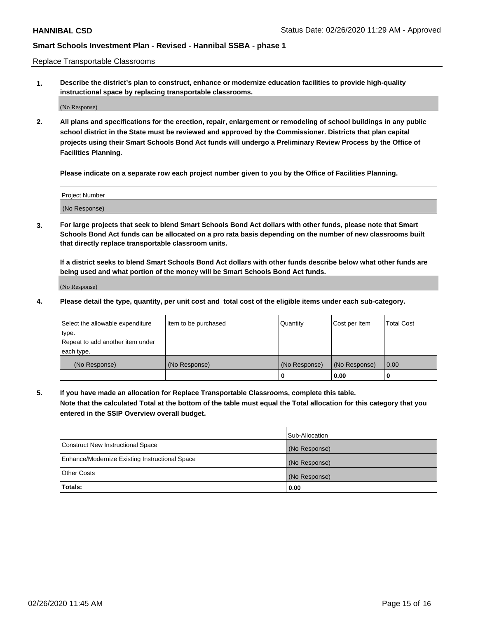Replace Transportable Classrooms

**1. Describe the district's plan to construct, enhance or modernize education facilities to provide high-quality instructional space by replacing transportable classrooms.**

(No Response)

**2. All plans and specifications for the erection, repair, enlargement or remodeling of school buildings in any public school district in the State must be reviewed and approved by the Commissioner. Districts that plan capital projects using their Smart Schools Bond Act funds will undergo a Preliminary Review Process by the Office of Facilities Planning.**

**Please indicate on a separate row each project number given to you by the Office of Facilities Planning.**

| Project Number |  |
|----------------|--|
|                |  |
|                |  |
|                |  |
|                |  |
| (No Response)  |  |
|                |  |
|                |  |
|                |  |

**3. For large projects that seek to blend Smart Schools Bond Act dollars with other funds, please note that Smart Schools Bond Act funds can be allocated on a pro rata basis depending on the number of new classrooms built that directly replace transportable classroom units.**

**If a district seeks to blend Smart Schools Bond Act dollars with other funds describe below what other funds are being used and what portion of the money will be Smart Schools Bond Act funds.**

(No Response)

**4. Please detail the type, quantity, per unit cost and total cost of the eligible items under each sub-category.**

| Select the allowable expenditure | Item to be purchased | Quantity      | Cost per Item | Total Cost |
|----------------------------------|----------------------|---------------|---------------|------------|
| ∣type.                           |                      |               |               |            |
| Repeat to add another item under |                      |               |               |            |
| each type.                       |                      |               |               |            |
| (No Response)                    | (No Response)        | (No Response) | (No Response) | 0.00       |
|                                  |                      | u             | 0.00          |            |

**5. If you have made an allocation for Replace Transportable Classrooms, complete this table. Note that the calculated Total at the bottom of the table must equal the Total allocation for this category that you entered in the SSIP Overview overall budget.**

|                                                | Sub-Allocation |
|------------------------------------------------|----------------|
| Construct New Instructional Space              | (No Response)  |
| Enhance/Modernize Existing Instructional Space | (No Response)  |
| Other Costs                                    | (No Response)  |
| Totals:                                        | 0.00           |